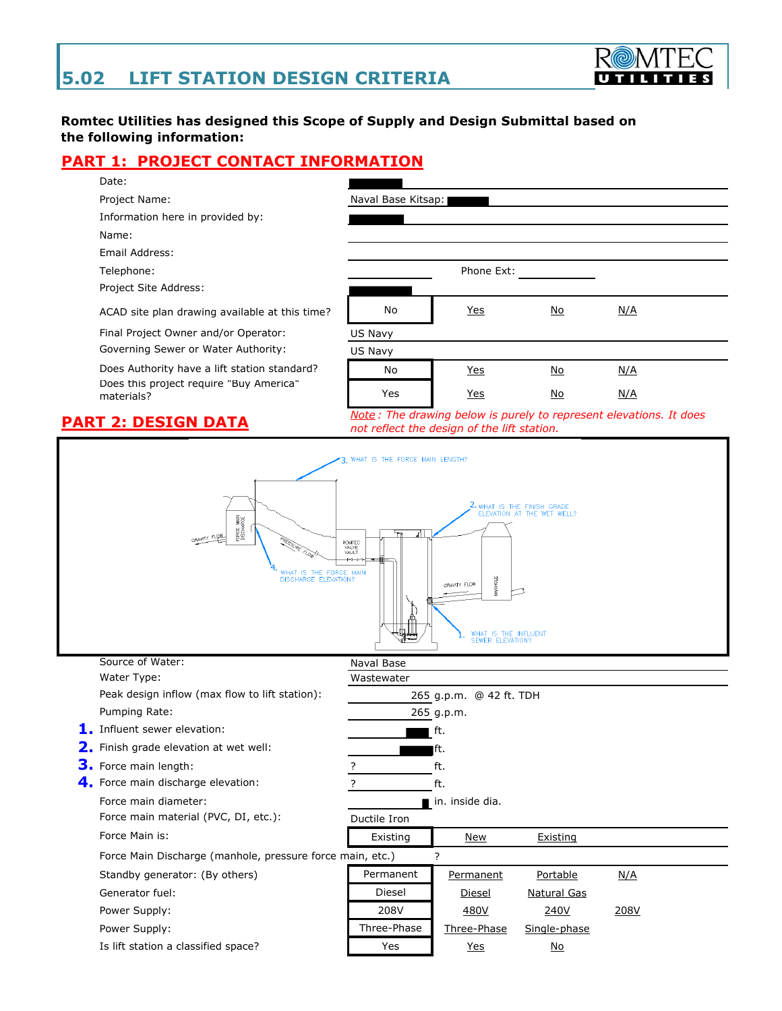

### **Romtec Utilities has designed this Scope of Supply and Design Submittal based on the following information:**

Naval Base Kitsap:

## **PART 1: PROJECT CONTACT INFORMATION**



Project Name:

Information here in provided by:

Name:

Email Address:

Telephone:

| Project Site Address:<br>No<br><u>Yes</u><br>No<br><u>N/A</u><br>ACAD site plan drawing available at this time?<br>Final Project Owner and/or Operator:<br>US Navy<br>Governing Sewer or Water Authority:<br>US Navy<br>Does Authority have a lift station standard?<br>No<br><b>Yes</b><br>N/A<br><u>No</u> | Telephone:                                            | Phone Ext: |  |  |
|--------------------------------------------------------------------------------------------------------------------------------------------------------------------------------------------------------------------------------------------------------------------------------------------------------------|-------------------------------------------------------|------------|--|--|
|                                                                                                                                                                                                                                                                                                              |                                                       |            |  |  |
|                                                                                                                                                                                                                                                                                                              |                                                       |            |  |  |
|                                                                                                                                                                                                                                                                                                              |                                                       |            |  |  |
|                                                                                                                                                                                                                                                                                                              |                                                       |            |  |  |
|                                                                                                                                                                                                                                                                                                              | Does this project require "Buy America"<br>materials? |            |  |  |
| <u>Yes</u><br>Yes<br>N <sub>O</sub><br>N/A                                                                                                                                                                                                                                                                   |                                                       |            |  |  |

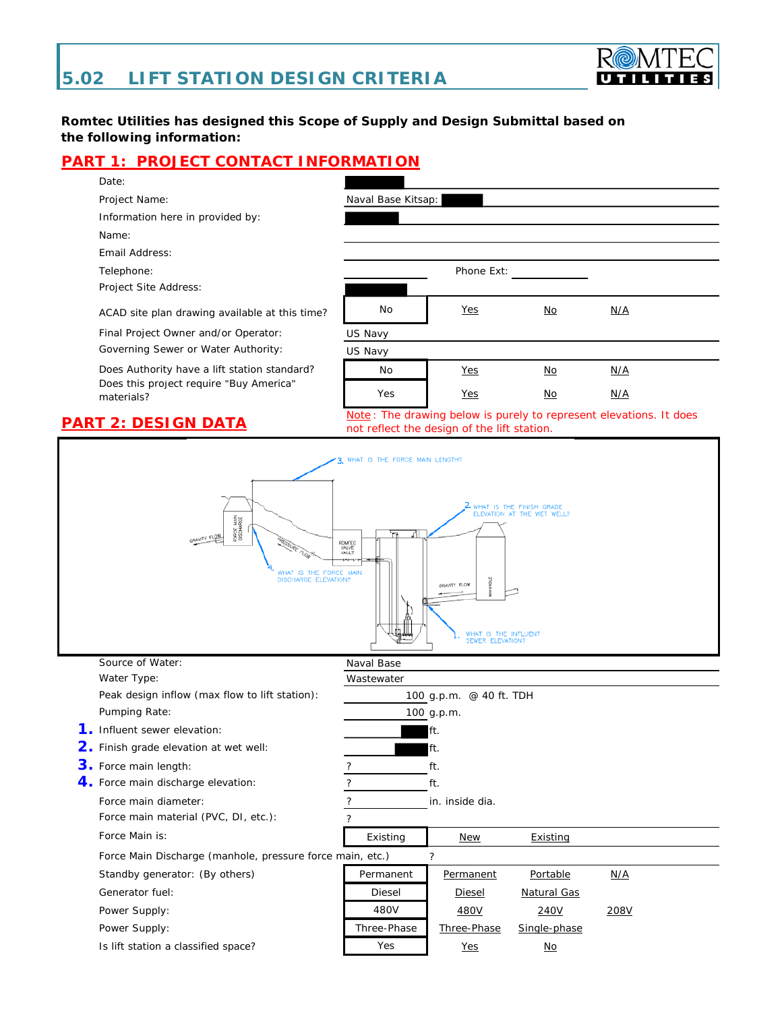

### **Romtec Utilities has designed this Scope of Supply and Design Submittal based on the following information:**

## **PART 1: PROJECT CONTACT INFORMATION**





*not reflect the design of the lift station.*

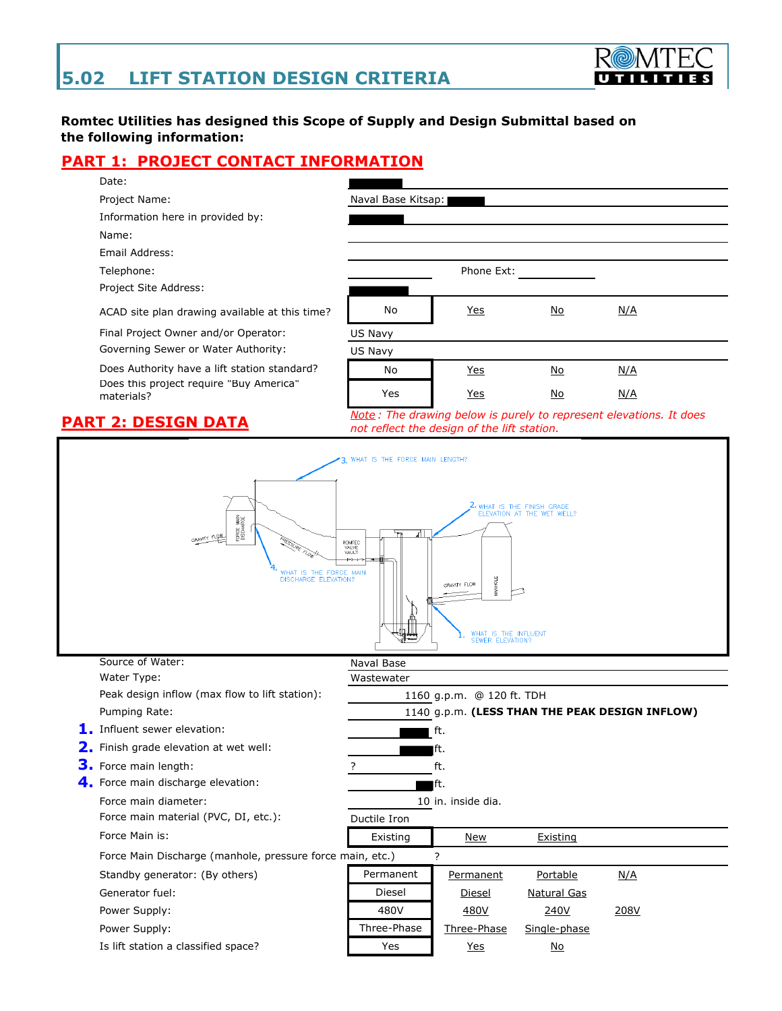

### **Romtec Utilities has designed this Scope of Supply and Design Submittal based on the following information:**

Naval Base Kitsap:

## **PART 1: PROJECT CONTACT INFORMATION**



Project Name:

Information here in provided by:

Name:

Email Address:

Telephone: The extension of the extension of the extension of the extension of the extension of the extension of the extension of the extension of the extension of the extension of the extension of the extension of the ext

Project Site Address:

| ACAD site plan drawing available at this time?        | No      | <u>Yes</u> | <u>No</u> | N/A |  |
|-------------------------------------------------------|---------|------------|-----------|-----|--|
| Final Project Owner and/or Operator:                  | US Navy |            |           |     |  |
| Governing Sewer or Water Authority:                   | US Navv |            |           |     |  |
| Does Authority have a lift station standard?          | No      | <u>Yes</u> | <u>No</u> | N/A |  |
| Does this project require "Buy America"<br>materials? | Yes     | <u>Yes</u> | <u>No</u> | N/A |  |

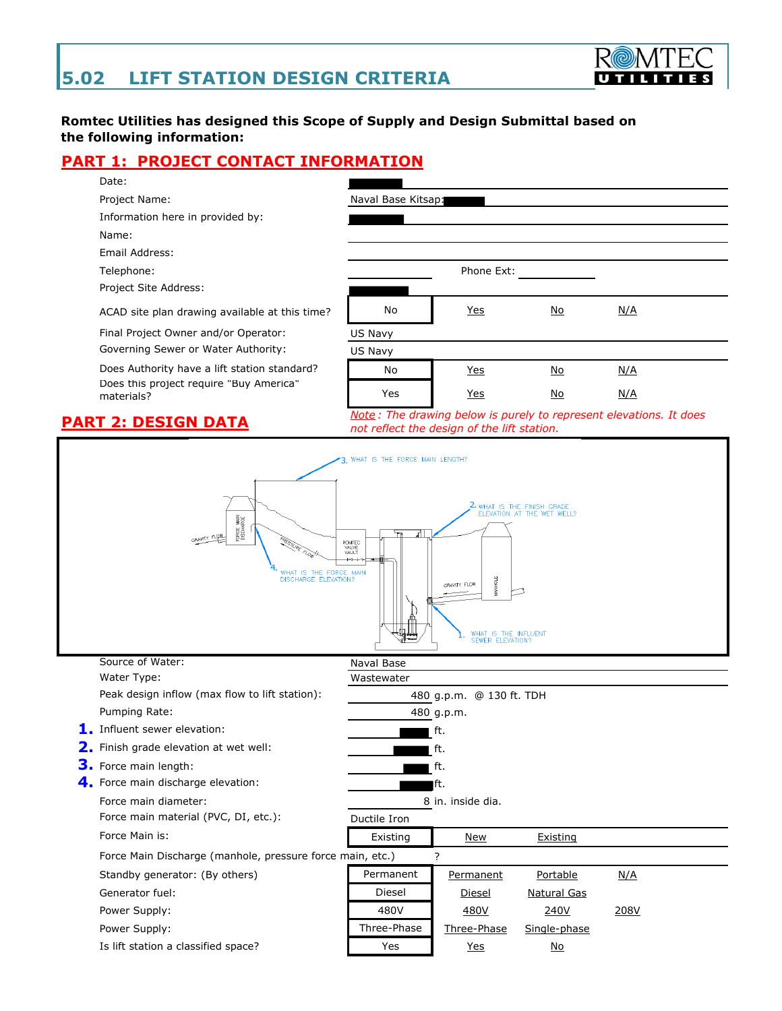

### **Romtec Utilities has designed this Scope of Supply and Design Submittal based on the following information:**

Naval Base Kitsap:

## **PART 1: PROJECT CONTACT INFORMATION**



Project Name:

Information here in provided by:

Name:

Email Address:

Telephone: The Phone Ext:

| Project Site Address:                                                                                 |         |            |           |     |  |
|-------------------------------------------------------------------------------------------------------|---------|------------|-----------|-----|--|
| ACAD site plan drawing available at this time?                                                        | No      | <u>Yes</u> | No        | N/A |  |
| Final Project Owner and/or Operator:                                                                  | US Navy |            |           |     |  |
| Governing Sewer or Water Authority:                                                                   | US Navy |            |           |     |  |
| Does Authority have a lift station standard?<br>Does this project require "Buy America"<br>materials? | No      | <u>Yes</u> | <u>No</u> | N/A |  |
|                                                                                                       | Yes     | <u>Yes</u> | No        | N/A |  |